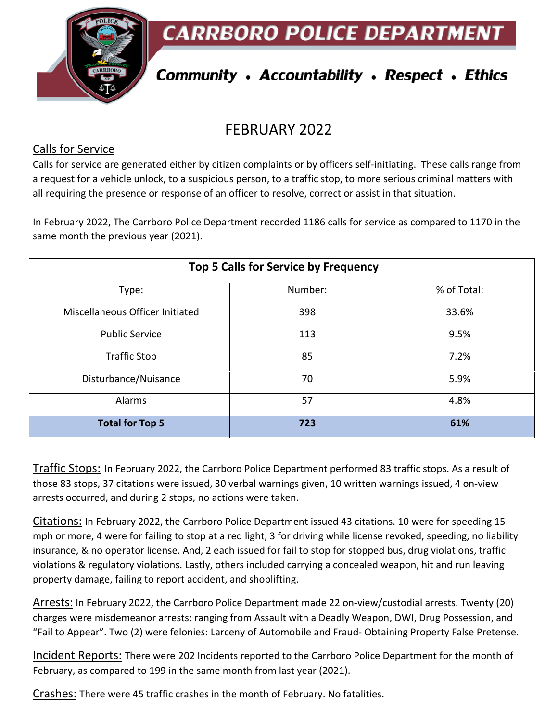**CARRBORO POLICE DEPARTMENT** 



# **Community . Accountability . Respect . Ethics**

## FEBRUARY 2022

#### Calls for Service

Calls for service are generated either by citizen complaints or by officers self-initiating. These calls range from a request for a vehicle unlock, to a suspicious person, to a traffic stop, to more serious criminal matters with all requiring the presence or response of an officer to resolve, correct or assist in that situation.

In February 2022, The Carrboro Police Department recorded 1186 calls for service as compared to 1170 in the same month the previous year (2021).

| <b>Top 5 Calls for Service by Frequency</b> |         |             |
|---------------------------------------------|---------|-------------|
| Type:                                       | Number: | % of Total: |
| Miscellaneous Officer Initiated             | 398     | 33.6%       |
| <b>Public Service</b>                       | 113     | 9.5%        |
| <b>Traffic Stop</b>                         | 85      | 7.2%        |
| Disturbance/Nuisance                        | 70      | 5.9%        |
| Alarms                                      | 57      | 4.8%        |
| <b>Total for Top 5</b>                      | 723     | 61%         |

Traffic Stops: In February 2022, the Carrboro Police Department performed 83 traffic stops. As a result of those 83 stops, 37 citations were issued, 30 verbal warnings given, 10 written warnings issued, 4 on-view arrests occurred, and during 2 stops, no actions were taken.

Citations: In February 2022, the Carrboro Police Department issued 43 citations. 10 were for speeding 15 mph or more, 4 were for failing to stop at a red light, 3 for driving while license revoked, speeding, no liability insurance, & no operator license. And, 2 each issued for fail to stop for stopped bus, drug violations, traffic violations & regulatory violations. Lastly, others included carrying a concealed weapon, hit and run leaving property damage, failing to report accident, and shoplifting.

Arrests: In February 2022, the Carrboro Police Department made 22 on-view/custodial arrests. Twenty (20) charges were misdemeanor arrests: ranging from Assault with a Deadly Weapon, DWI, Drug Possession, and "Fail to Appear". Two (2) were felonies: Larceny of Automobile and Fraud- Obtaining Property False Pretense.

Incident Reports: There were 202 Incidents reported to the Carrboro Police Department for the month of February, as compared to 199 in the same month from last year (2021).

Crashes: There were 45 traffic crashes in the month of February. No fatalities.